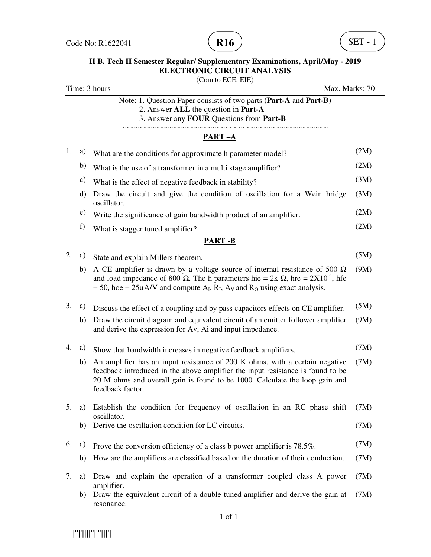

# **II B. Tech II Semester Regular/ Supplementary Examinations, April/May - 2019 ELECTRONIC CIRCUIT ANALYSIS**

(Com to ECE, EIE) Time: 3 hours Max. Marks: 70 Note: 1. Question Paper consists of two parts (**Part-A** and **Part-B)** 2. Answer **ALL** the question in **Part-A** 3. Answer any **FOUR** Questions from **Part-B** ~~~~~~~~~~~~~~~~~~~~~~~~~~~~~~~~~~~~~~~~~~~~~~~~ **PART –A** 1. a) What are the conditions for approximate h parameter model? (2M) b) What is the use of a transformer in a multi stage amplifier? (2M) c) What is the effect of negative feedback in stability?  $(3M)$ d) Draw the circuit and give the condition of oscillation for a Wein bridge oscillator. (3M) e) Write the significance of gain bandwidth product of an amplifier. (2M) f) What is stagger tuned amplifier?  $(2M)$ **PART -B** 2. a) State and explain Millers theorem. (5M) b) A CE amplifier is drawn by a voltage source of internal resistance of 500  $\Omega$ and load impedance of 800  $\Omega$ . The h parameters hie = 2k  $\Omega$ , hre = 2X10<sup>-4</sup>, hfe  $= 50$ , hoe  $= 25\mu$ A/V and compute A<sub>I</sub>, R<sub>I</sub>, A<sub>V</sub> and R<sub>O</sub> using exact analysis. (9M) 3. a) Discuss the effect of a coupling and by pass capacitors effects on CE amplifier. (5M) b) Draw the circuit diagram and equivalent circuit of an emitter follower amplifier and derive the expression for Av, Ai and input impedance. (9M) 4. a) Show that bandwidth increases in negative feedback amplifiers. (7M) b) An amplifier has an input resistance of 200 K ohms, with a certain negative feedback introduced in the above amplifier the input resistance is found to be 20 M ohms and overall gain is found to be 1000. Calculate the loop gain and feedback factor. (7M) 5. a) Establish the condition for frequency of oscillation in an RC phase shift oscillator. (7M) b) Derive the oscillation condition for LC circuits. (7M) 6. a) Prove the conversion efficiency of a class b power amplifier is  $78.5\%$ . (7M) b) How are the amplifiers are classified based on the duration of their conduction. (7M) 7. a) Draw and explain the operation of a transformer coupled class A power amplifier. (7M) b) Draw the equivalent circuit of a double tuned amplifier and derive the gain at resonance. (7M)

|''|'||||''|'''|||'|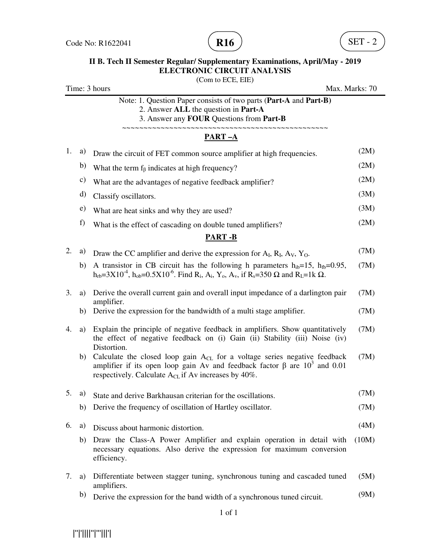

### **II B. Tech II Semester Regular/ Supplementary Examinations, April/May - 2019 ELECTRONIC CIRCUIT ANALYSIS**  (Com to ECE, EIE)

| Time: 3 hours                        |    |                                                                                                                                                                                                                                                                                           | Max. Marks: 70 |  |
|--------------------------------------|----|-------------------------------------------------------------------------------------------------------------------------------------------------------------------------------------------------------------------------------------------------------------------------------------------|----------------|--|
|                                      |    | Note: 1. Question Paper consists of two parts (Part-A and Part-B)<br>2. Answer ALL the question in Part-A<br>3. Answer any FOUR Questions from Part-B                                                                                                                                     |                |  |
| ~~~~~~~~~~~~~~~~~~~~~~~~<br>$PART-A$ |    |                                                                                                                                                                                                                                                                                           |                |  |
| 1.                                   | a) | Draw the circuit of FET common source amplifier at high frequencies.                                                                                                                                                                                                                      | (2M)           |  |
|                                      | b) | What the term $f_\beta$ indicates at high frequency?                                                                                                                                                                                                                                      | (2M)           |  |
|                                      | c) | What are the advantages of negative feedback amplifier?                                                                                                                                                                                                                                   | (2M)           |  |
|                                      | d) | Classify oscillators.                                                                                                                                                                                                                                                                     | (3M)           |  |
|                                      | e) | What are heat sinks and why they are used?                                                                                                                                                                                                                                                | (3M)           |  |
|                                      | f) | What is the effect of cascading on double tuned amplifiers?                                                                                                                                                                                                                               | (2M)           |  |
|                                      |    | <b>PART-B</b>                                                                                                                                                                                                                                                                             |                |  |
| 2.                                   | a) | Draw the CC amplifier and derive the expression for $A_I$ , $R_I$ , $A_V$ , $Y_O$ .                                                                                                                                                                                                       | (7M)           |  |
|                                      | b) | A transistor in CB circuit has the following h parameters $h_{ib} = 15$ , $h_{fb} = 0.95$ ,<br>$h_{rb} = 3X10^{-4}$ , $h_{ob} = 0.5X10^{-6}$ . Find R <sub>i</sub> , A <sub>i</sub> , Y <sub>o</sub> , A <sub>v</sub> , if R <sub>s</sub> =350 $\Omega$ and R <sub>L</sub> =1k $\Omega$ . | (7M)           |  |
| 3.                                   | a) | Derive the overall current gain and overall input impedance of a darlington pair<br>amplifier.                                                                                                                                                                                            | (7M)           |  |
|                                      | b) | Derive the expression for the bandwidth of a multi stage amplifier.                                                                                                                                                                                                                       | (7M)           |  |
| 4.                                   | a) | Explain the principle of negative feedback in amplifiers. Show quantitatively<br>the effect of negative feedback on (i) Gain (ii) Stability (iii) Noise (iv)<br>Distortion.                                                                                                               | (7M)           |  |
|                                      | b) | Calculate the closed loop gain $A_{CL}$ for a voltage series negative feedback<br>amplifier if its open loop gain Av and feedback factor $\beta$ are $10^3$ and 0.01<br>respectively. Calculate $A_{CL}$ if Av increases by 40%.                                                          | (7M)           |  |
| 5.                                   | a) | State and derive Barkhausan criterian for the oscillations.                                                                                                                                                                                                                               | (7M)           |  |
|                                      | b) | Derive the frequency of oscillation of Hartley oscillator.                                                                                                                                                                                                                                | (7M)           |  |
| 6.                                   | a) | Discuss about harmonic distortion.                                                                                                                                                                                                                                                        | (4M)           |  |
|                                      | b) | Draw the Class-A Power Amplifier and explain operation in detail with<br>necessary equations. Also derive the expression for maximum conversion<br>efficiency.                                                                                                                            | (10M)          |  |
| 7.                                   | a) | Differentiate between stagger tuning, synchronous tuning and cascaded tuned<br>amplifiers.                                                                                                                                                                                                | (5M)           |  |
|                                      | b) | Derive the expression for the band width of a synchronous tuned circuit.                                                                                                                                                                                                                  | (9M)           |  |

1 of 1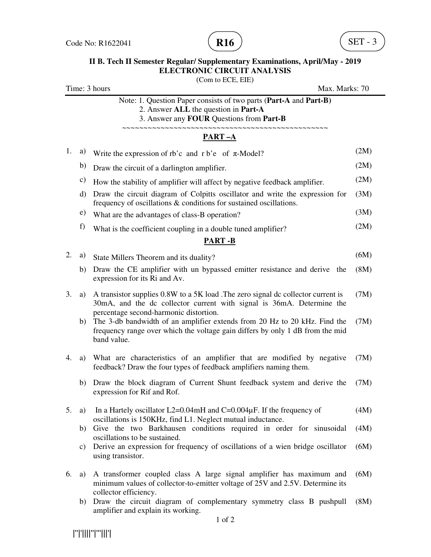

# **II B. Tech II Semester Regular/ Supplementary Examinations, April/May - 2019 ELECTRONIC CIRCUIT ANALYSIS**

(Com to ECE, EIE)

Time: 3 hours Max. Marks: 70 Note: 1. Question Paper consists of two parts (**Part-A** and **Part-B)** 2. Answer **ALL** the question in **Part-A** 3. Answer any **FOUR** Questions from **Part-B PART –A**  1. a) Write the expression of rb'c and r b'e of  $\pi$ -Model? (2M) b) Draw the circuit of a darlington amplifier. (2M) c) How the stability of amplifier will affect by negative feedback amplifier.  $(2M)$ d) Draw the circuit diagram of Colpitts oscillator and write the expression for frequency of oscillations & conditions for sustained oscillations. (3M) e) What are the advantages of class-B operation? (3M) f) What is the coefficient coupling in a double tuned amplifier?  $(2M)$ **PART -B** 2. a) State Millers Theorem and its duality? (6M) b) Draw the CE amplifier with un bypassed emitter resistance and derive the expression for its Ri and Av. (8M) 3. a) A transistor supplies 0.8W to a 5K load .The zero signal dc collector current is 30mA, and the dc collector current with signal is 36mA. Determine the percentage second-harmonic distortion. (7M) b) The 3-db bandwidth of an amplifier extends from 20 Hz to 20 kHz. Find the frequency range over which the voltage gain differs by only 1 dB from the mid band value. (7M) 4. a) What are characteristics of an amplifier that are modified by negative feedback? Draw the four types of feedback amplifiers naming them. (7M) b) Draw the block diagram of Current Shunt feedback system and derive the expression for Rif and Rof. (7M) 5. a) In a Hartely oscillator  $L2=0.04$  mH and  $C=0.004$  µF. If the frequency of oscillations is 150KHz, find L1. Neglect mutual inductance. (4M) b) Give the two Barkhausen conditions required in order for sinusoidal oscillations to be sustained. (4M) c) Derive an expression for frequency of oscillations of a wien bridge oscillator using transistor. (6M) 6. a) A transformer coupled class A large signal amplifier has maximum and minimum values of collector-to-emitter voltage of 25V and 2.5V. Determine its collector efficiency. (6M) b) Draw the circuit diagram of complementary symmetry class B pushpull amplifier and explain its working. (8M)

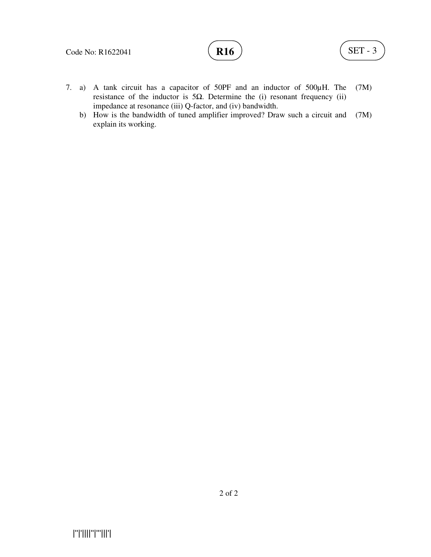- 7. a) A tank circuit has a capacitor of 50PF and an inductor of 500µH. The resistance of the inductor is 5Ω. Determine the (i) resonant frequency (ii) impedance at resonance (iii) Q-factor, and (iv) bandwidth. (7M)
	- b) How is the bandwidth of tuned amplifier improved? Draw such a circuit and explain its working. (7M)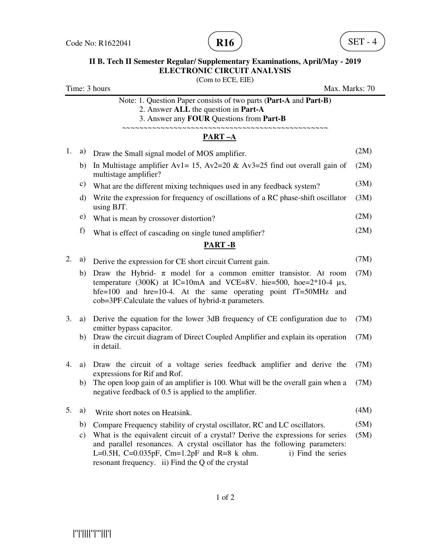

## **II B. Tech II Semester Regular/ Supplementary Examinations, April/May - 2019 ELECTRONIC CIRCUIT ANALYSIS**

(Com to ECE, EIE)

Time: 3 hours Max. Marks: 70 Note: 1. Question Paper consists of two parts (**Part-A** and **Part-B)** 2. Answer **ALL** the question in **Part-A** 3. Answer any **FOUR** Questions from **Part-B** ~~~~~~~~~~~~~~~~~~~~~~~~~~~~~~~~~~~~~~~~~~~~~~~~ **PART –A**  1. a) Draw the Small signal model of MOS amplifier. (2M) b) In Multistage amplifier Av1= 15, Av2=20 & Av3=25 find out overall gain of multistage amplifier? (2M) c) What are the different mixing techniques used in any feedback system? (3M) d) Write the expression for frequency of oscillations of a RC phase-shift oscillator using BJT. (3M) e) What is mean by crossover distortion? (2M) f) What is effect of cascading on single tuned amplifier? (2M) **PART -B** 2. a) Derive the expression for CE short circuit Current gain. (7M) b) Draw the Hybrid-  $\pi$  model for a common emitter transistor. At room temperature (300K) at IC=10mA and VCE=8V. hie=500, hoe= $2*10-4 \mu s$ , hfe=100 and hre=10-4. At the same operating point fT=50MHz and  $\cosh=3PF$ . Calculate the values of hybrid- $\pi$  parameters. (7M) 3. a) Derive the equation for the lower 3dB frequency of CE configuration due to emitter bypass capacitor. (7M) b) Draw the circuit diagram of Direct Coupled Amplifier and explain its operation in detail. (7M) 4. a) Draw the circuit of a voltage series feedback amplifier and derive the expressions for Rif and Rof. (7M) b) The open loop gain of an amplifier is 100. What will be the overall gain when a negative feedback of 0.5 is applied to the amplifier. (7M) 5. a) Write short notes on Heatsink. (4M) b) Compare Frequency stability of crystal oscillator, RC and LC oscillators. (5M) c) What is the equivalent circuit of a crystal? Derive the expressions for series and parallel resonances. A crystal oscillator has the following parameters: L=0.5H, C=0.035pF, Cm=1.2pF and R=8 k ohm. i) Find the series resonant frequency. ii) Find the Q of the crystal (5M)